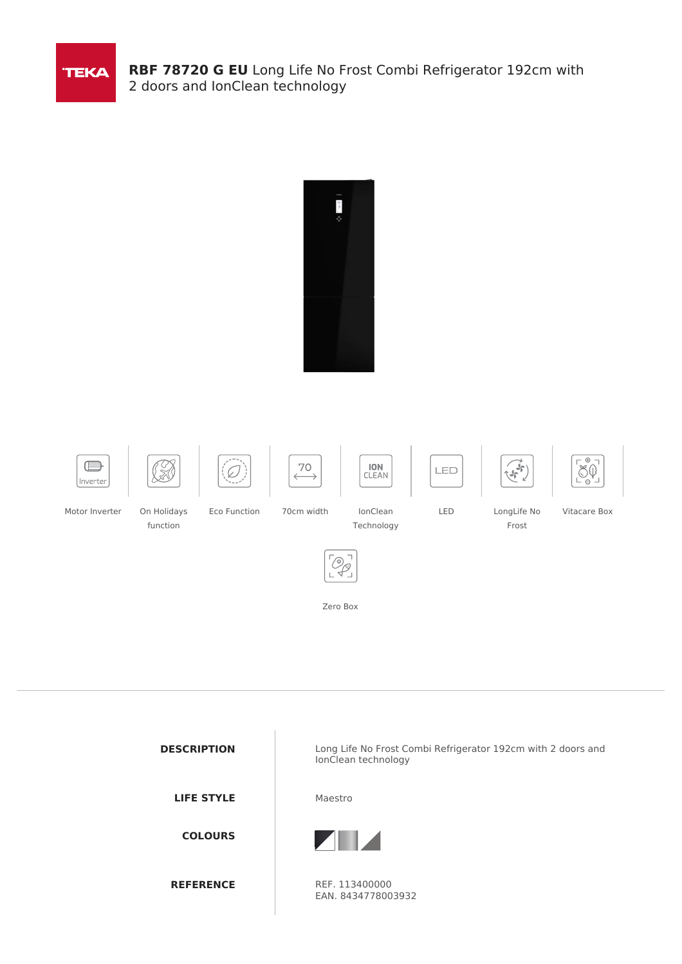

**RBF 78720 G EU** Long Life No Frost Combi Refrigerator 192cm with 2 doors and IonClean technology



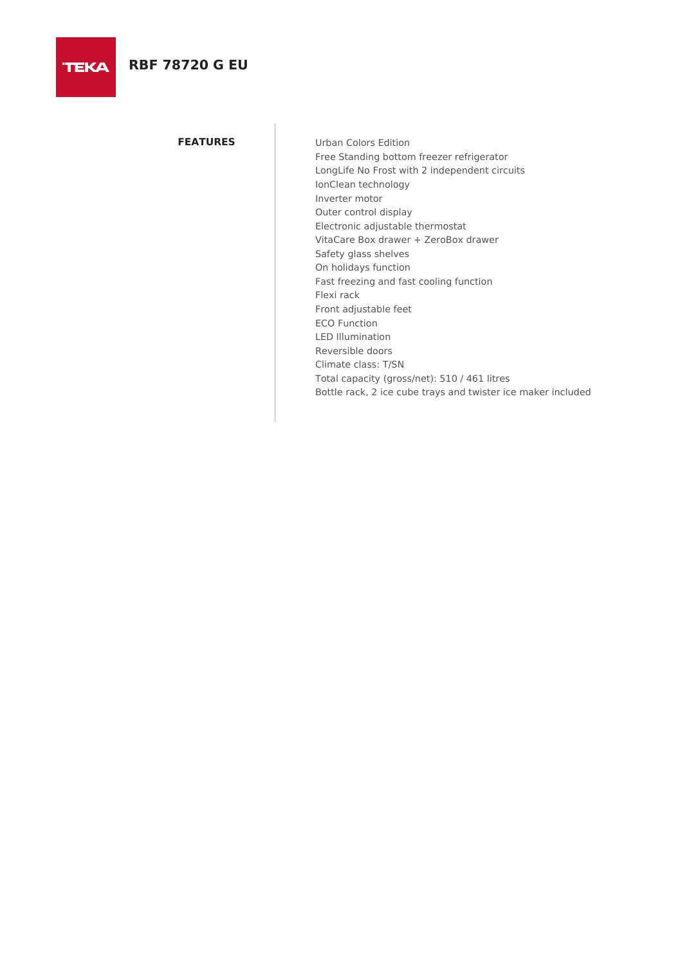**FEATURES** Urban Colors Edition Free Standing bottom freezer refrigerator LongLife No Frost with 2 independent circuits IonClean technology Inverter motor Outer control display Electronic adjustable thermostat VitaCare Box drawer + ZeroBox drawer Safety glass shelves On holidays function Fast freezing and fast cooling function Flexi rack Front adjustable feet ECO Function LED Illumination Reversible doors Climate class: T/SN Total capacity (gross/net): 510 / 461 litres Bottle rack, 2 ice cube trays and twister ice maker included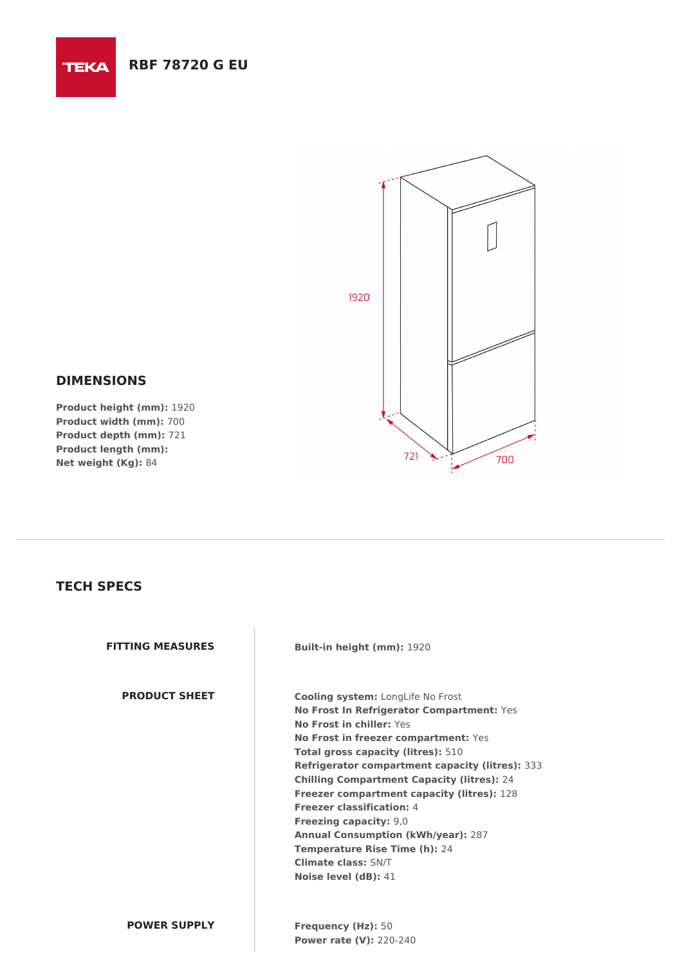



## **DIMENSIONS**

**Product height (mm):** 1920 **Product width (mm):** 700 **Product depth (mm):** 721 **Product length (mm): Net weight (Kg):** 84

## **TECH SPECS**

**FITTING MEASURES Built-in height (mm):** 1920

**PRODUCT SHEET Cooling system:** LongLife No Frost **No Frost In Refrigerator Compartment:** Yes **No Frost in chiller:** Yes **No Frost in freezer compartment:** Yes **Total gross capacity (litres):** 510 **Refrigerator compartment capacity (litres):** 333 **Chilling Compartment Capacity (litres):** 24 **Freezer compartment capacity (litres):** 128 **Freezer classification:** 4 **Freezing capacity:** 9,0 **Annual Consumption (kWh/year):** 287 **Temperature Rise Time (h):** 24 **Climate class:** SN/T **Noise level (dB):** 41

**POWER SUPPLY Frequency (Hz):** 50 **Power rate (V):** 220-240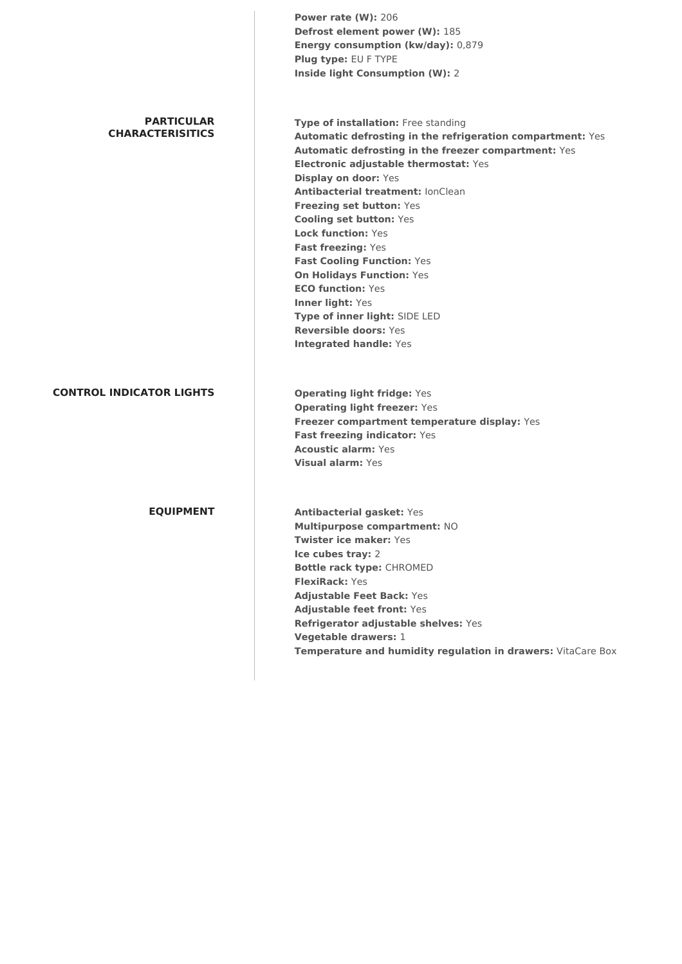|                                              | Power rate (W): 206<br>Defrost element power (W): 185<br>Energy consumption (kw/day): 0,879<br>Plug type: EU F TYPE<br><b>Inside light Consumption (W): 2</b>                                                                                                                                                                                                                                                                                                                                                                                                                                                                    |
|----------------------------------------------|----------------------------------------------------------------------------------------------------------------------------------------------------------------------------------------------------------------------------------------------------------------------------------------------------------------------------------------------------------------------------------------------------------------------------------------------------------------------------------------------------------------------------------------------------------------------------------------------------------------------------------|
| <b>PARTICULAR</b><br><b>CHARACTERISITICS</b> | Type of installation: Free standing<br>Automatic defrosting in the refrigeration compartment: Yes<br>Automatic defrosting in the freezer compartment: Yes<br>Electronic adjustable thermostat: Yes<br><b>Display on door: Yes</b><br><b>Antibacterial treatment: lonClean</b><br><b>Freezing set button: Yes</b><br><b>Cooling set button: Yes</b><br><b>Lock function: Yes</b><br>Fast freezing: Yes<br><b>Fast Cooling Function: Yes</b><br><b>On Holidays Function: Yes</b><br><b>ECO function: Yes</b><br>Inner light: Yes<br>Type of inner light: SIDE LED<br><b>Reversible doors: Yes</b><br><b>Integrated handle: Yes</b> |
| <b>CONTROL INDICATOR LIGHTS</b>              | <b>Operating light fridge: Yes</b><br><b>Operating light freezer: Yes</b><br>Freezer compartment temperature display: Yes<br>Fast freezing indicator: Yes<br><b>Acoustic alarm: Yes</b><br><b>Visual alarm: Yes</b>                                                                                                                                                                                                                                                                                                                                                                                                              |
| <b>EQUIPMENT</b>                             | <b>Antibacterial gasket: Yes</b><br>Multipurpose compartment: NO<br><b>Twister ice maker: Yes</b><br>Ice cubes tray: 2<br><b>Bottle rack type: CHROMED</b><br><b>FlexiRack: Yes</b><br><b>Adjustable Feet Back: Yes</b><br><b>Adjustable feet front: Yes</b><br>Refrigerator adjustable shelves: Yes<br>Vegetable drawers: 1<br>Temperature and humidity regulation in drawers: VitaCare Box                                                                                                                                                                                                                                     |